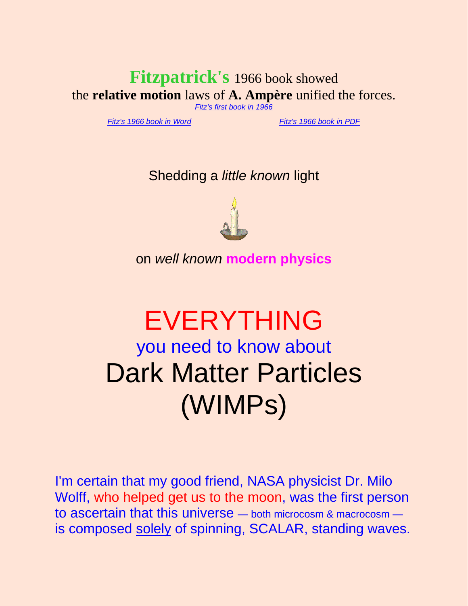# **Fitzpatrick's** 1966 book showed the **relative motion** laws of **A. Ampère** unified the forces.

*[Fitz's first book in 1966](http://rbduncan.com/1966.html)*

*[Fitz's 1966 book in Word](http://rbduncan.com/1966.doc)* . . . . . . . . . . . *[Fitz's 1966 book in PDF](http://rbduncan.com/1966.pdf)*

Shedding a *little known* light



on *well known* **modern physics**

# EVERYTHING you need to know about Dark Matter Particles (WIMPs)

I'm certain that my good friend, NASA physicist Dr. Milo Wolff, who helped get us to the moon, was the first person to ascertain that this universe — both microcosm & macrocosm is composed solely of spinning, SCALAR, standing waves.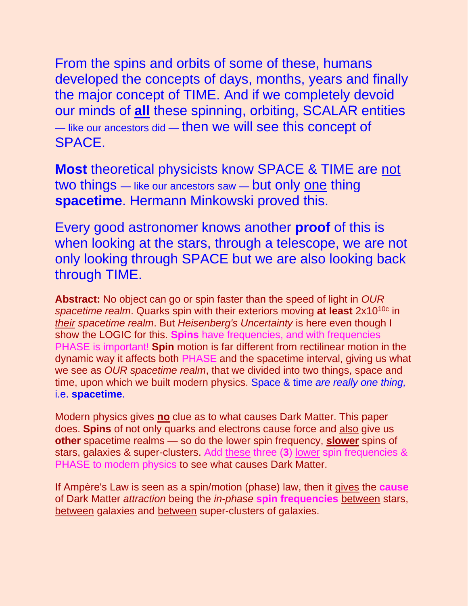From the spins and orbits of some of these, humans developed the concepts of days, months, years and finally the major concept of TIME. And if we completely devoid our minds of **all** these spinning, orbiting, SCALAR entities — like our ancestors did — then we will see this concept of SPACE.

**Most** theoretical physicists know SPACE & TIME are not two things — like our ancestors saw — but only one thing **spacetime**. Hermann Minkowski proved this.

Every good astronomer knows another **proof** of this is when looking at the stars, through a telescope, we are not only looking through SPACE but we are also looking back through TIME.

**Abstract:** No object can go or spin faster than the speed of light in *OUR*  spacetime realm. Quarks spin with their exteriors moving at least 2x10<sup>10c</sup> in *their spacetime realm*. But *Heisenberg's Uncertainty* is here even though I show the LOGIC for this. **Spins** have frequencies, and with frequencies PHASE is important! **Spin** motion is far different from rectilinear motion in the dynamic way it affects both PHASE and the spacetime interval, giving us what we see as *OUR spacetime realm*, that we divided into two things, space and time, upon which we built modern physics. Space & time *are really one thing,* i.e. **spacetime**.

Modern physics gives **no** clue as to what causes Dark Matter. This paper does. **Spins** of not only quarks and electrons cause force and also give us **other** spacetime realms — so do the lower spin frequency, **slower** spins of stars, galaxies & super-clusters. Add these three (**3**) lower spin frequencies & PHASE to modern physics to see what causes Dark Matter.

If Ampère's Law is seen as a spin/motion (phase) law, then it gives the **cause** of Dark Matter *attraction* being the *in-phase* **spin frequencies** between stars, between galaxies and between super-clusters of galaxies.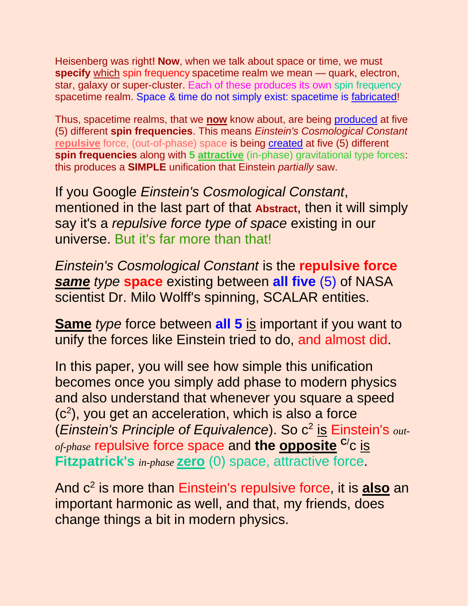Heisenberg was right**! Now**, when we talk about space or time, we must **specify** which spin frequency spacetime realm we mean — quark, electron, star, galaxy or super-cluster. Each of these produces its own spin frequency spacetime realm. Space & time do not simply exist: spacetime is fabricated!

Thus, spacetime realms, that we **now** know about, are being produced at five (5) different **spin frequencies**. This means *Einstein's Cosmological Constant* **repulsive** force, (out-of-phase) space is being created at five (5) different **spin frequencies** along with 5 attractive (in-phase) gravitational type forces: this produces a **SIMPLE** unification that Einstein *partially* saw.

If you Google *Einstein's Cosmological Constant*, mentioned in the last part of that **Abstract**, then it will simply say it's a *repulsive force type of space* existing in our universe. But it's far more than that!

*Einstein's Cosmological Constant* is the **repulsive force** *same type* **space** existing between **all five** (5) of NASA scientist Dr. Milo Wolff's spinning, SCALAR entities.

**Same** *type* force between **all 5** is important if you want to unify the forces like Einstein tried to do, and almost did.

In this paper, you will see how simple this unification becomes once you simply add phase to modern physics and also understand that whenever you square a speed (c<sup>2</sup>), you get an acceleration, which is also a force (*Einstein's Principle of Equivalence*). So c<sup>2</sup> is Einstein's out*of-phase* repulsive force space and **the opposite <sup>C</sup>**/c is **Fitzpatrick's** *in-phase* **zero** (0) space, attractive force.

And c<sup>2</sup> is more than Einstein's repulsive force, it is **also** an important harmonic as well, and that, my friends, does change things a bit in modern physics.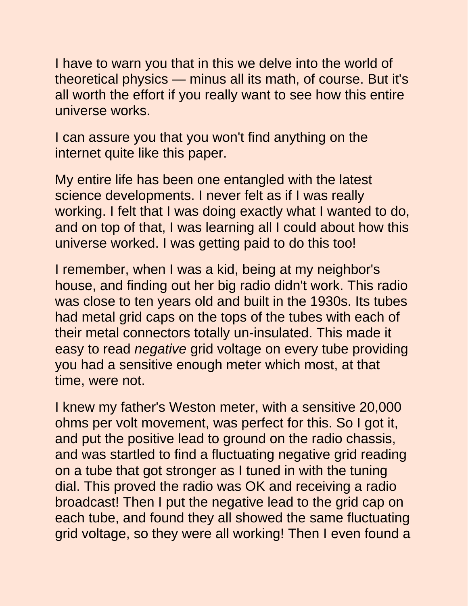I have to warn you that in this we delve into the world of theoretical physics — minus all its math, of course. But it's all worth the effort if you really want to see how this entire universe works.

I can assure you that you won't find anything on the internet quite like this paper.

My entire life has been one entangled with the latest science developments. I never felt as if I was really working. I felt that I was doing exactly what I wanted to do, and on top of that, I was learning all I could about how this universe worked. I was getting paid to do this too!

I remember, when I was a kid, being at my neighbor's house, and finding out her big radio didn't work. This radio was close to ten years old and built in the 1930s. Its tubes had metal grid caps on the tops of the tubes with each of their metal connectors totally un-insulated. This made it easy to read *negative* grid voltage on every tube providing you had a sensitive enough meter which most, at that time, were not.

I knew my father's Weston meter, with a sensitive 20,000 ohms per volt movement, was perfect for this. So I got it, and put the positive lead to ground on the radio chassis, and was startled to find a fluctuating negative grid reading on a tube that got stronger as I tuned in with the tuning dial. This proved the radio was OK and receiving a radio broadcast! Then I put the negative lead to the grid cap on each tube, and found they all showed the same fluctuating grid voltage, so they were all working! Then I even found a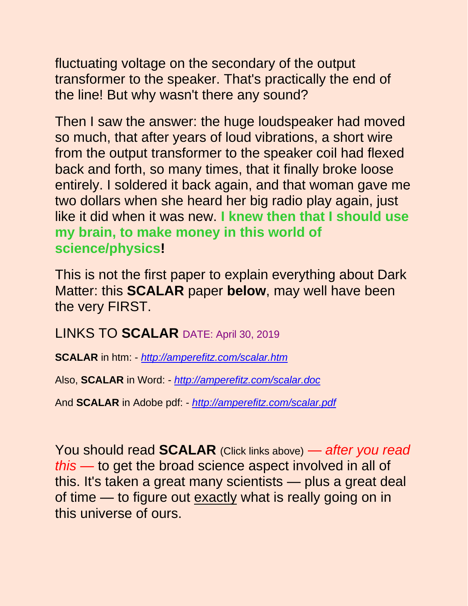fluctuating voltage on the secondary of the output transformer to the speaker. That's practically the end of the line! But why wasn't there any sound?

Then I saw the answer: the huge loudspeaker had moved so much, that after years of loud vibrations, a short wire from the output transformer to the speaker coil had flexed back and forth, so many times, that it finally broke loose entirely. I soldered it back again, and that woman gave me two dollars when she heard her big radio play again, just like it did when it was new. **I knew then that I should use my brain, to make money in this world of science/physics!**

This is not the first paper to explain everything about Dark Matter: this **SCALAR** paper **below**, may well have been the very FIRST.

LINKS TO **SCALAR** DATE: April 30, 2019

**SCALAR** in htm: - *<http://amperefitz.com/scalar.htm>*

Also, **SCALAR** in Word: - *<http://amperefitz.com/scalar.doc>*

And **SCALAR** in Adobe pdf: - *<http://amperefitz.com/scalar.pdf>*

You should read **SCALAR** (Click links above) — *after you read this* — to get the broad science aspect involved in all of this. It's taken a great many scientists — plus a great deal of time — to figure out exactly what is really going on in this universe of ours.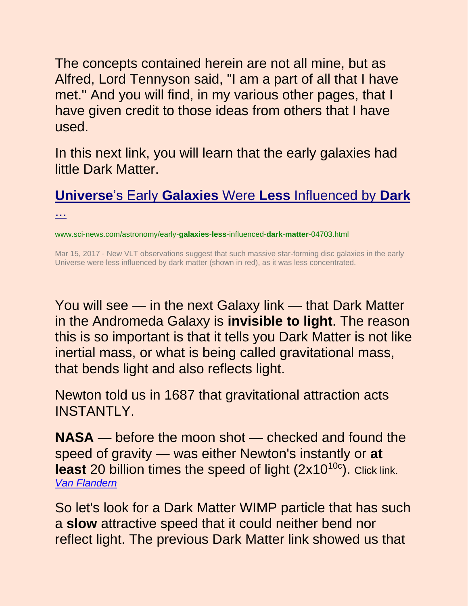The concepts contained herein are not all mine, but as Alfred, Lord Tennyson said, "I am a part of all that I have met." And you will find, in my various other pages, that I have given credit to those ideas from others that I have used.

In this next link, you will learn that the early galaxies had little Dark Matter.

# **Universe**'s Early **Galaxies** Were **Less** [Influenced by](http://www.sci-news.com/astronomy/early-galaxies-less-influenced-dark-matter-04703.html) **Dark**

[...](http://www.sci-news.com/astronomy/early-galaxies-less-influenced-dark-matter-04703.html)

www.sci-news.com/astronomy/early-**galaxies**-**less**-influenced-**dark**-**matter**-04703.html

Mar 15, 2017 · New VLT observations suggest that such massive star-forming disc galaxies in the early Universe were less influenced by dark matter (shown in red), as it was less concentrated.

You will see — in the next Galaxy link — that Dark Matter in the Andromeda Galaxy is **invisible to light**. The reason this is so important is that it tells you Dark Matter is not like inertial mass, or what is being called gravitational mass, that bends light and also reflects light.

Newton told us in 1687 that gravitational attraction acts INSTANTLY.

**NASA** — before the moon shot — checked and found the speed of gravity — was either Newton's instantly or **at least** 20 billion times the speed of light (2x10<sup>10c</sup>). Click link. *[Van Flandern](http://www.ldolphin.org/vanFlandern/gravityspeed.html)*

So let's look for a Dark Matter WIMP particle that has such a **slow** attractive speed that it could neither bend nor reflect light. The previous Dark Matter link showed us that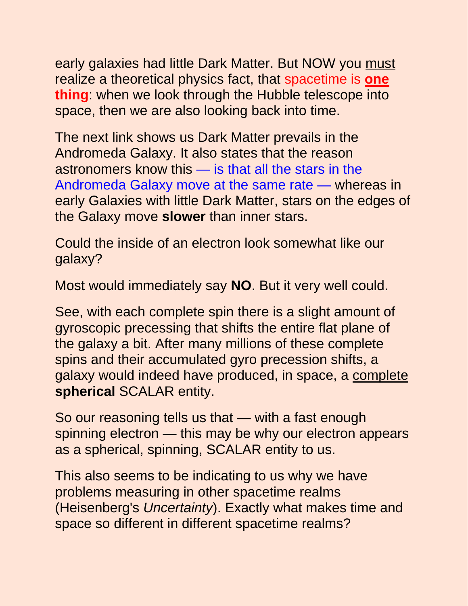early galaxies had little Dark Matter. But NOW you must realize a theoretical physics fact, that spacetime is **one thing**: when we look through the Hubble telescope into space, then we are also looking back into time.

The next link shows us Dark Matter prevails in the Andromeda Galaxy. It also states that the reason astronomers know this — is that all the stars in the Andromeda Galaxy move at the same rate — whereas in early Galaxies with little Dark Matter, stars on the edges of the Galaxy move **slower** than inner stars.

Could the inside of an electron look somewhat like our galaxy?

Most would immediately say **NO**. But it very well could.

See, with each complete spin there is a slight amount of gyroscopic precessing that shifts the entire flat plane of the galaxy a bit. After many millions of these complete spins and their accumulated gyro precession shifts, a galaxy would indeed have produced, in space, a complete **spherical** SCALAR entity.

So our reasoning tells us that — with a fast enough spinning electron — this may be why our electron appears as a spherical, spinning, SCALAR entity to us.

This also seems to be indicating to us why we have problems measuring in other spacetime realms (Heisenberg's *Uncertainty*). Exactly what makes time and space so different in different spacetime realms?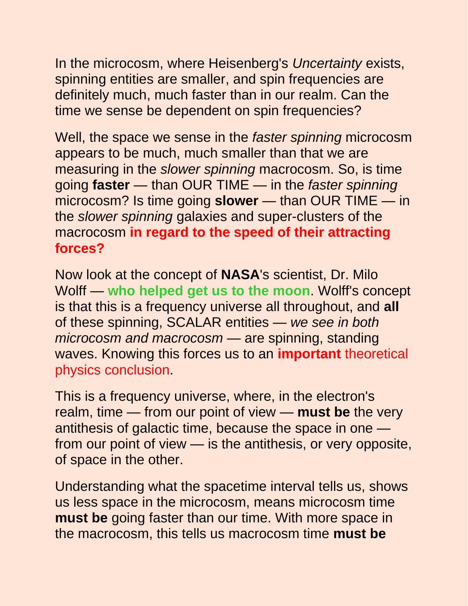In the microcosm, where Heisenberg's *Uncertainty* exists, spinning entities are smaller, and spin frequencies are definitely much, much faster than in our realm. Can the time we sense be dependent on spin frequencies?

Well, the space we sense in the *faster spinning* microcosm appears to be much, much smaller than that we are measuring in the *slower spinning* macrocosm. So, is time going **faster** — than OUR TIME — in the *faster spinning* microcosm? Is time going **slower** — than OUR TIME — in the *slower spinning* galaxies and super-clusters of the macrocosm **in regard to the speed of their attracting forces?**

Now look at the concept of **NASA**'s scientist, Dr. Milo Wolff — **who helped get us to the moon**. Wolff's concept is that this is a frequency universe all throughout, and **all** of these spinning, SCALAR entities — *we see in both microcosm and macrocosm* — are spinning, standing waves. Knowing this forces us to an **important** theoretical physics conclusion.

This is a frequency universe, where, in the electron's realm, time — from our point of view — **must be** the very antithesis of galactic time, because the space in one from our point of view — is the antithesis, or very opposite, of space in the other.

Understanding what the spacetime interval tells us, shows us less space in the microcosm, means microcosm time **must be** going faster than our time. With more space in the macrocosm, this tells us macrocosm time **must be**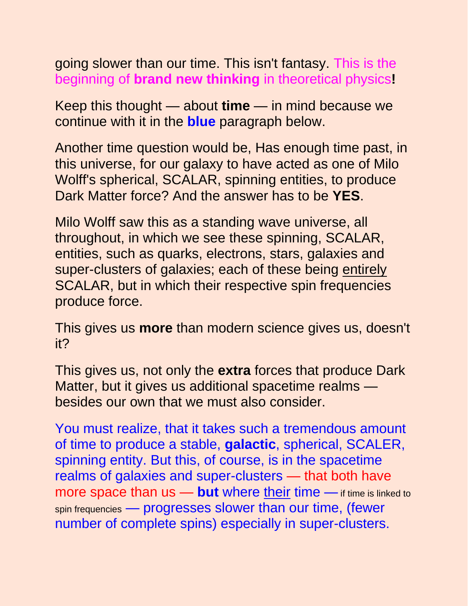going slower than our time. This isn't fantasy. This is the beginning of **brand new thinking** in theoretical physics**!**

Keep this thought — about **time** — in mind because we continue with it in the **blue** paragraph below.

Another time question would be, Has enough time past, in this universe, for our galaxy to have acted as one of Milo Wolff's spherical, SCALAR, spinning entities, to produce Dark Matter force? And the answer has to be **YES**.

Milo Wolff saw this as a standing wave universe, all throughout, in which we see these spinning, SCALAR, entities, such as quarks, electrons, stars, galaxies and super-clusters of galaxies; each of these being entirely SCALAR, but in which their respective spin frequencies produce force.

This gives us **more** than modern science gives us, doesn't it?

This gives us, not only the **extra** forces that produce Dark Matter, but it gives us additional spacetime realms besides our own that we must also consider.

You must realize, that it takes such a tremendous amount of time to produce a stable, **galactic**, spherical, SCALER, spinning entity. But this, of course, is in the spacetime realms of galaxies and super-clusters — that both have more space than us - but where their time - if time is linked to spin frequencies — progresses slower than our time, (fewer number of complete spins) especially in super-clusters.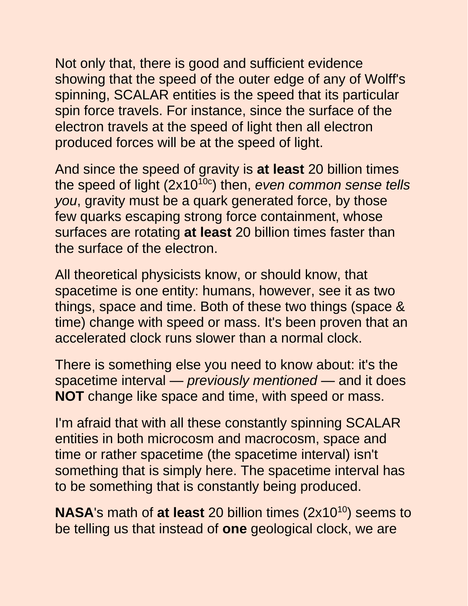Not only that, there is good and sufficient evidence showing that the speed of the outer edge of any of Wolff's spinning, SCALAR entities is the speed that its particular spin force travels. For instance, since the surface of the electron travels at the speed of light then all electron produced forces will be at the speed of light.

And since the speed of gravity is **at least** 20 billion times the speed of light (2x10<sup>10c</sup>) then, *even common sense tells you*, gravity must be a quark generated force, by those few quarks escaping strong force containment, whose surfaces are rotating **at least** 20 billion times faster than the surface of the electron.

All theoretical physicists know, or should know, that spacetime is one entity: humans, however, see it as two things, space and time. Both of these two things (space & time) change with speed or mass. It's been proven that an accelerated clock runs slower than a normal clock.

There is something else you need to know about: it's the spacetime interval — *previously mentioned* — and it does **NOT** change like space and time, with speed or mass.

I'm afraid that with all these constantly spinning SCALAR entities in both microcosm and macrocosm, space and time or rather spacetime (the spacetime interval) isn't something that is simply here. The spacetime interval has to be something that is constantly being produced.

**NASA**'s math of at least 20 billion times (2x10<sup>10</sup>) seems to be telling us that instead of **one** geological clock, we are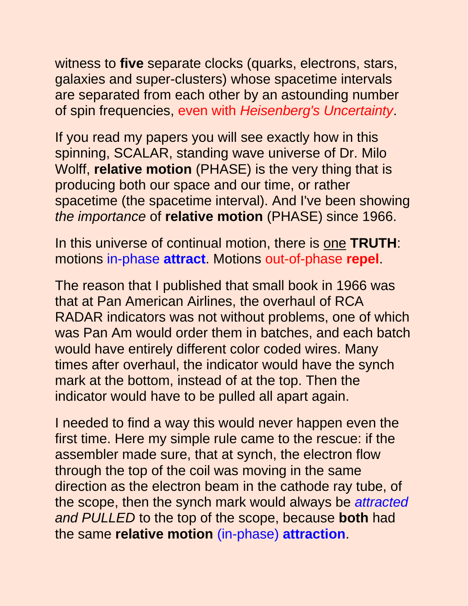witness to **five** separate clocks (quarks, electrons, stars, galaxies and super-clusters) whose spacetime intervals are separated from each other by an astounding number of spin frequencies, even with *Heisenberg's Uncertainty*.

If you read my papers you will see exactly how in this spinning, SCALAR, standing wave universe of Dr. Milo Wolff, **relative motion** (PHASE) is the very thing that is producing both our space and our time, or rather spacetime (the spacetime interval). And I've been showing *the importance* of **relative motion** (PHASE) since 1966.

In this universe of continual motion, there is one **TRUTH**: motions in-phase **attract**. Motions out-of-phase **repel**.

The reason that I published that small book in 1966 was that at Pan American Airlines, the overhaul of RCA RADAR indicators was not without problems, one of which was Pan Am would order them in batches, and each batch would have entirely different color coded wires. Many times after overhaul, the indicator would have the synch mark at the bottom, instead of at the top. Then the indicator would have to be pulled all apart again.

I needed to find a way this would never happen even the first time. Here my simple rule came to the rescue: if the assembler made sure, that at synch, the electron flow through the top of the coil was moving in the same direction as the electron beam in the cathode ray tube, of the scope, then the synch mark would always be *attracted and PULLED* to the top of the scope, because **both** had the same **relative motion** (in-phase) **attraction**.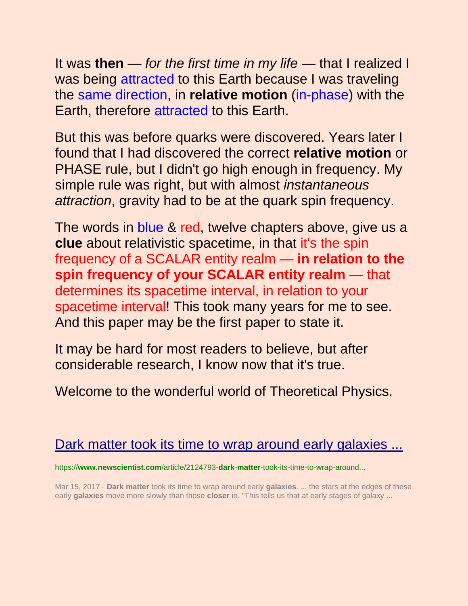It was **then** — *for the first time in my life* — that I realized I was being attracted to this Earth because I was traveling the same direction, in **relative motion** (in-phase) with the Earth, therefore attracted to this Earth.

But this was before quarks were discovered. Years later I found that I had discovered the correct **relative motion** or PHASE rule, but I didn't go high enough in frequency. My simple rule was right, but with almost *instantaneous attraction*, gravity had to be at the quark spin frequency.

The words in blue & red, twelve chapters above, give us a **clue** about relativistic spacetime, in that it's the spin frequency of a SCALAR entity realm — **in relation to the spin frequency of your SCALAR entity realm** — that determines its spacetime interval, in relation to your spacetime interval! This took many years for me to see. And this paper may be the first paper to state it.

It may be hard for most readers to believe, but after considerable research, I know now that it's true.

Welcome to the wonderful world of Theoretical Physics.

# [Dark matter took its time to wrap around early galaxies ...](https://www.newscientist.com/article/2124793-dark-matter-took-its-time-to-wrap-around-early-galaxies/)

https://**www.newscientist.com**/article/2124793-**dark**-**matter**-took-its-time-to-wrap-around...

Mar 15, 2017 · **Dark matter** took its time to wrap around early **galaxies**. ... the stars at the edges of these early **galaxies** move more slowly than those **closer** in. "This tells us that at early stages of galaxy ...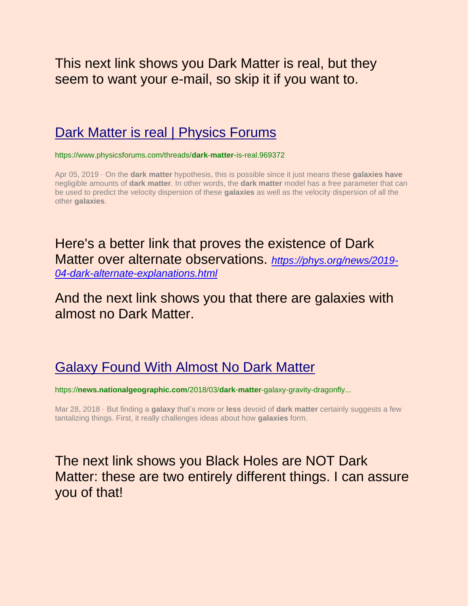This next link shows you Dark Matter is real, but they seem to want your e-mail, so skip it if you want to.

### [Dark Matter is real | Physics Forums](https://www.physicsforums.com/threads/dark-matter-is-real.969372/)

https://www.physicsforums.com/threads/**dark**-**matter**-is-real.969372

Apr 05, 2019 · On the **dark matter** hypothesis, this is possible since it just means these **galaxies have** negligible amounts of **dark matter**. In other words, the **dark matter** model has a free parameter that can be used to predict the velocity dispersion of these **galaxies** as well as the velocity dispersion of all the other **galaxies**.

### Here's a better link that proves the existence of Dark Matter over alternate observations. *[https://phys.org/news/2019-](https://phys.org/news/2019-04-dark-alternate-explanations.html) [04-dark-alternate-explanations.html](https://phys.org/news/2019-04-dark-alternate-explanations.html)*

## And the next link shows you that there are galaxies with almost no Dark Matter.

# [Galaxy Found With Almost No Dark Matter](https://news.nationalgeographic.com/2018/03/dark-matter-galaxy-gravity-dragonfly-physics-space-science/)

https://**news.nationalgeographic.com**/2018/03/**dark**-**matter**-galaxy-gravity-dragonfly...

Mar 28, 2018 · But finding a **galaxy** that's more or **less** devoid of **dark matter** certainly suggests a few tantalizing things. First, it really challenges ideas about how **galaxies** form.

## The next link shows you Black Holes are NOT Dark Matter: these are two entirely different things. I can assure you of that!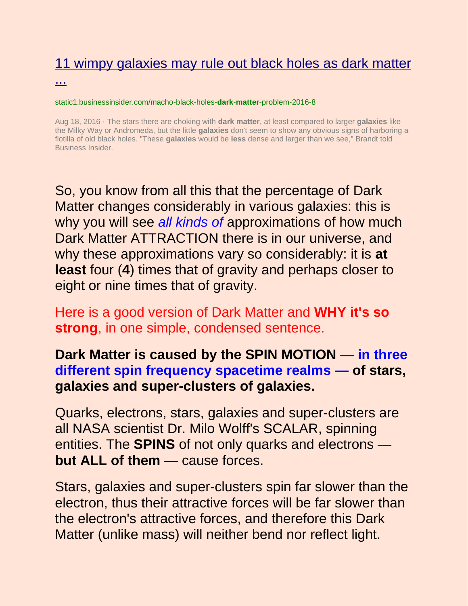# [11 wimpy galaxies may rule out black holes as dark matter](http://static1.businessinsider.com/macho-black-holes-dark-matter-problem-2016-8)

#### [...](http://static1.businessinsider.com/macho-black-holes-dark-matter-problem-2016-8)

#### static1.businessinsider.com/macho-black-holes-**dark**-**matter**-problem-2016-8

Aug 18, 2016 · The stars there are choking with **dark matter**, at least compared to larger **galaxies** like the Milky Way or Andromeda, but the little **galaxies** don't seem to show any obvious signs of harboring a flotilla of old black holes. "These **galaxies** would be **less** dense and larger than we see," Brandt told Business Insider.

So, you know from all this that the percentage of Dark Matter changes considerably in various galaxies: this is why you will see *all kinds of* approximations of how much Dark Matter ATTRACTION there is in our universe, and why these approximations vary so considerably: it is **at least** four (**4**) times that of gravity and perhaps closer to eight or nine times that of gravity.

Here is a good version of Dark Matter and **WHY it's so strong**, in one simple, condensed sentence.

### **Dark Matter is caused by the SPIN MOTION — in three different spin frequency spacetime realms — of stars, galaxies and super-clusters of galaxies.**

Quarks, electrons, stars, galaxies and super-clusters are all NASA scientist Dr. Milo Wolff's SCALAR, spinning entities. The **SPINS** of not only quarks and electrons **but ALL of them** — cause forces.

Stars, galaxies and super-clusters spin far slower than the electron, thus their attractive forces will be far slower than the electron's attractive forces, and therefore this Dark Matter (unlike mass) will neither bend nor reflect light.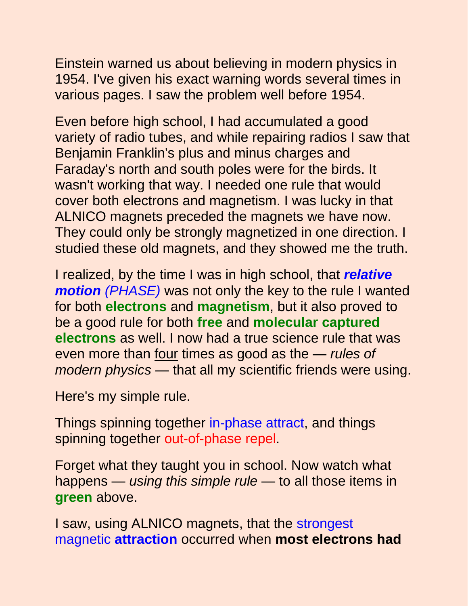Einstein warned us about believing in modern physics in 1954. I've given his exact warning words several times in various pages. I saw the problem well before 1954.

Even before high school, I had accumulated a good variety of radio tubes, and while repairing radios I saw that Benjamin Franklin's plus and minus charges and Faraday's north and south poles were for the birds. It wasn't working that way. I needed one rule that would cover both electrons and magnetism. I was lucky in that ALNICO magnets preceded the magnets we have now. They could only be strongly magnetized in one direction. I studied these old magnets, and they showed me the truth.

I realized, by the time I was in high school, that *relative motion (PHASE)* was not only the key to the rule I wanted for both **electrons** and **magnetism**, but it also proved to be a good rule for both **free** and **molecular captured electrons** as well. I now had a true science rule that was even more than four times as good as the — *rules of modern physics* — that all my scientific friends were using.

Here's my simple rule.

Things spinning together in-phase attract, and things spinning together out-of-phase repel.

Forget what they taught you in school. Now watch what happens — *using this simple rule* — to all those items in **green** above.

I saw, using ALNICO magnets, that the strongest magnetic **attraction** occurred when **most electrons had**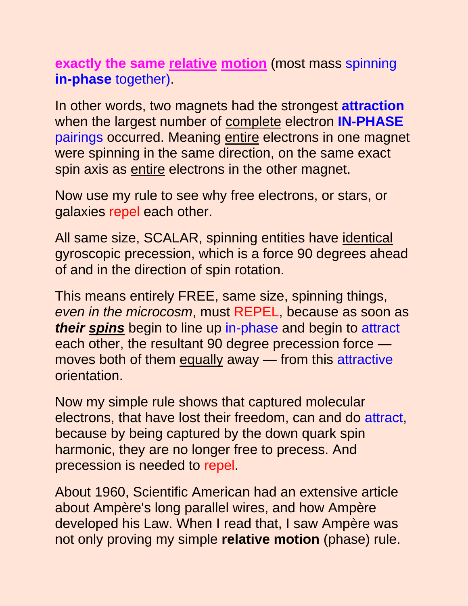**exactly the same relative motion** (most mass spinning **in-phase** together).

In other words, two magnets had the strongest **attraction** when the largest number of complete electron **IN-PHASE** pairings occurred. Meaning entire electrons in one magnet were spinning in the same direction, on the same exact spin axis as entire electrons in the other magnet.

Now use my rule to see why free electrons, or stars, or galaxies repel each other.

All same size, SCALAR, spinning entities have identical gyroscopic precession, which is a force 90 degrees ahead of and in the direction of spin rotation.

This means entirely FREE, same size, spinning things, *even in the microcosm*, must REPEL, because as soon as *their spins* begin to line up in-phase and begin to attract each other, the resultant 90 degree precession force moves both of them equally away — from this attractive orientation.

Now my simple rule shows that captured molecular electrons, that have lost their freedom, can and do attract, because by being captured by the down quark spin harmonic, they are no longer free to precess. And precession is needed to repel.

About 1960, Scientific American had an extensive article about Ampère's long parallel wires, and how Ampère developed his Law. When I read that, I saw Ampère was not only proving my simple **relative motion** (phase) rule.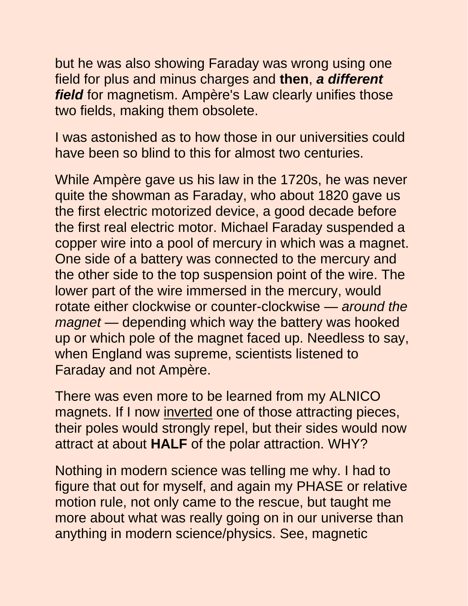but he was also showing Faraday was wrong using one field for plus and minus charges and **then**, *a different field* for magnetism. Ampère's Law clearly unifies those two fields, making them obsolete.

I was astonished as to how those in our universities could have been so blind to this for almost two centuries.

While Ampère gave us his law in the 1720s, he was never quite the showman as Faraday, who about 1820 gave us the first electric motorized device, a good decade before the first real electric motor. Michael Faraday suspended a copper wire into a pool of mercury in which was a magnet. One side of a battery was connected to the mercury and the other side to the top suspension point of the wire. The lower part of the wire immersed in the mercury, would rotate either clockwise or counter-clockwise — *around the magnet* — depending which way the battery was hooked up or which pole of the magnet faced up. Needless to say, when England was supreme, scientists listened to Faraday and not Ampère.

There was even more to be learned from my ALNICO magnets. If I now inverted one of those attracting pieces, their poles would strongly repel, but their sides would now attract at about **HALF** of the polar attraction. WHY?

Nothing in modern science was telling me why. I had to figure that out for myself, and again my PHASE or relative motion rule, not only came to the rescue, but taught me more about what was really going on in our universe than anything in modern science/physics. See, magnetic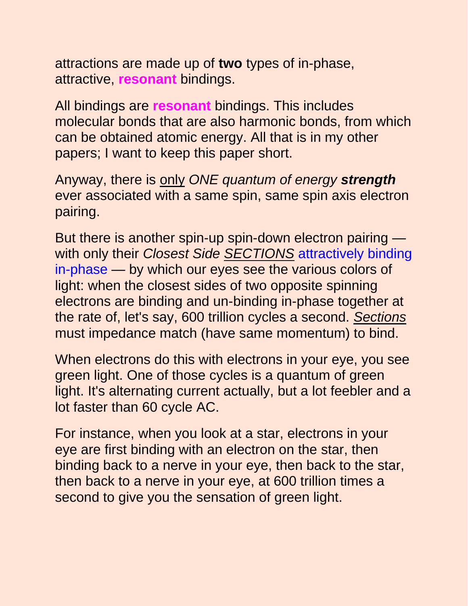attractions are made up of **two** types of in-phase, attractive, **resonant** bindings.

All bindings are **resonant** bindings. This includes molecular bonds that are also harmonic bonds, from which can be obtained atomic energy. All that is in my other papers; I want to keep this paper short.

Anyway, there is only *ONE quantum of energy strength* ever associated with a same spin, same spin axis electron pairing.

But there is another spin-up spin-down electron pairing with only their *Closest Side SECTIONS* attractively binding in-phase — by which our eyes see the various colors of light: when the closest sides of two opposite spinning electrons are binding and un-binding in-phase together at the rate of, let's say, 600 trillion cycles a second. *Sections* must impedance match (have same momentum) to bind.

When electrons do this with electrons in your eye, you see green light. One of those cycles is a quantum of green light. It's alternating current actually, but a lot feebler and a lot faster than 60 cycle AC.

For instance, when you look at a star, electrons in your eye are first binding with an electron on the star, then binding back to a nerve in your eye, then back to the star, then back to a nerve in your eye, at 600 trillion times a second to give you the sensation of green light.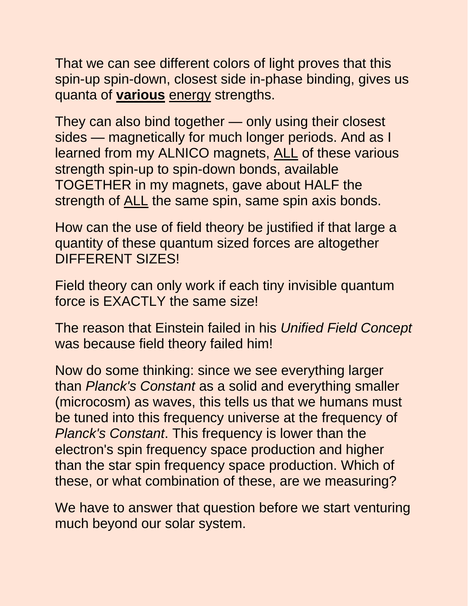That we can see different colors of light proves that this spin-up spin-down, closest side in-phase binding, gives us quanta of **various** energy strengths.

They can also bind together — only using their closest sides — magnetically for much longer periods. And as I learned from my ALNICO magnets, ALL of these various strength spin-up to spin-down bonds, available TOGETHER in my magnets, gave about HALF the strength of ALL the same spin, same spin axis bonds.

How can the use of field theory be justified if that large a quantity of these quantum sized forces are altogether DIFFERENT SIZES!

Field theory can only work if each tiny invisible quantum force is EXACTLY the same size!

The reason that Einstein failed in his *Unified Field Concept* was because field theory failed him!

Now do some thinking: since we see everything larger than *Planck's Constant* as a solid and everything smaller (microcosm) as waves, this tells us that we humans must be tuned into this frequency universe at the frequency of *Planck's Constant*. This frequency is lower than the electron's spin frequency space production and higher than the star spin frequency space production. Which of these, or what combination of these, are we measuring?

We have to answer that question before we start venturing much beyond our solar system.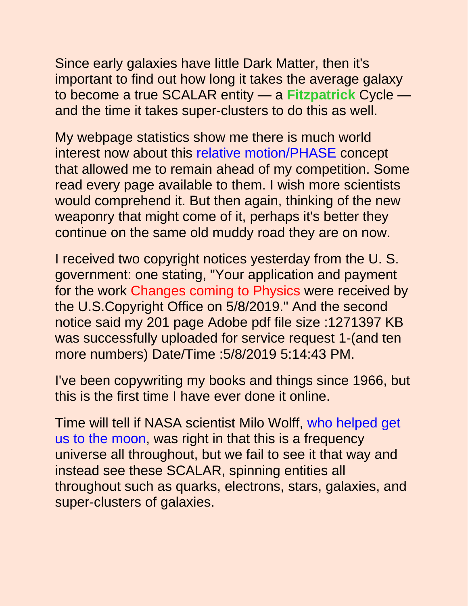Since early galaxies have little Dark Matter, then it's important to find out how long it takes the average galaxy to become a true SCALAR entity — a **Fitzpatrick** Cycle and the time it takes super-clusters to do this as well.

My webpage statistics show me there is much world interest now about this relative motion/PHASE concept that allowed me to remain ahead of my competition. Some read every page available to them. I wish more scientists would comprehend it. But then again, thinking of the new weaponry that might come of it, perhaps it's better they continue on the same old muddy road they are on now.

I received two copyright notices yesterday from the U. S. government: one stating, "Your application and payment for the work Changes coming to Physics were received by the U.S.Copyright Office on 5/8/2019." And the second notice said my 201 page Adobe pdf file size :1271397 KB was successfully uploaded for service request 1-(and ten more numbers) Date/Time :5/8/2019 5:14:43 PM.

I've been copywriting my books and things since 1966, but this is the first time I have ever done it online.

Time will tell if NASA scientist Milo Wolff, who helped get us to the moon, was right in that this is a frequency universe all throughout, but we fail to see it that way and instead see these SCALAR, spinning entities all throughout such as quarks, electrons, stars, galaxies, and super-clusters of galaxies.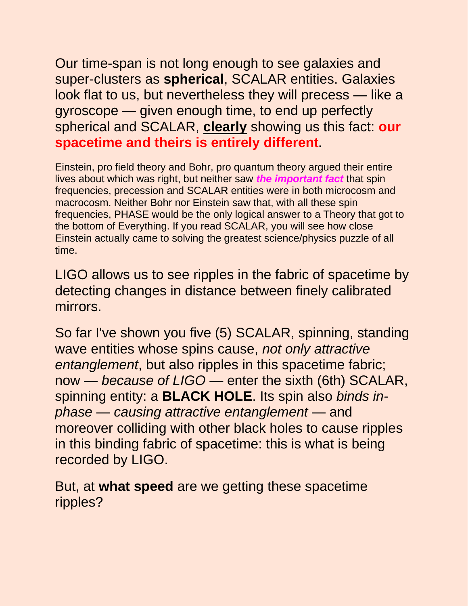Our time-span is not long enough to see galaxies and super-clusters as **spherical**, SCALAR entities. Galaxies look flat to us, but nevertheless they will precess — like a gyroscope — given enough time, to end up perfectly spherical and SCALAR, **clearly** showing us this fact: **our spacetime and theirs is entirely different.**

Einstein, pro field theory and Bohr, pro quantum theory argued their entire lives about which was right, but neither saw *the important fact* that spin frequencies, precession and SCALAR entities were in both microcosm and macrocosm. Neither Bohr nor Einstein saw that, with all these spin frequencies, PHASE would be the only logical answer to a Theory that got to the bottom of Everything. If you read SCALAR, you will see how close Einstein actually came to solving the greatest science/physics puzzle of all time.

LIGO allows us to see ripples in the fabric of spacetime by detecting changes in distance between finely calibrated mirrors.

So far I've shown you five (5) SCALAR, spinning, standing wave entities whose spins cause, *not only attractive entanglement*, but also ripples in this spacetime fabric; now — *because of LIGO* — enter the sixth (6th) SCALAR, spinning entity: a **BLACK HOLE**. Its spin also *binds inphase — causing attractive entanglement —* and moreover colliding with other black holes to cause ripples in this binding fabric of spacetime: this is what is being recorded by LIGO.

But, at **what speed** are we getting these spacetime ripples?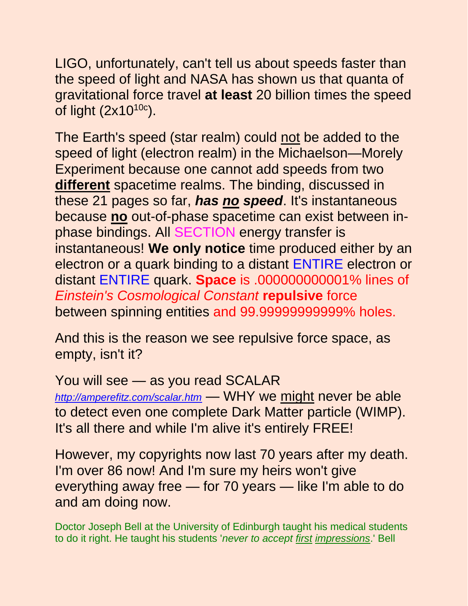LIGO, unfortunately, can't tell us about speeds faster than the speed of light and NASA has shown us that quanta of gravitational force travel **at least** 20 billion times the speed of light  $(2x10^{10c})$ .

The Earth's speed (star realm) could not be added to the speed of light (electron realm) in the Michaelson—Morely Experiment because one cannot add speeds from two **different** spacetime realms. The binding, discussed in these 21 pages so far, *has no speed*. It's instantaneous because **no** out-of-phase spacetime can exist between inphase bindings. All SECTION energy transfer is instantaneous! **We only notice** time produced either by an electron or a quark binding to a distant ENTIRE electron or distant ENTIRE quark. **Space** is .000000000001% lines of *Einstein's Cosmological Constant* **repulsive** force between spinning entities and 99.99999999999% holes.

And this is the reason we see repulsive force space, as empty, isn't it?

You will see — as you read SCALAR *<http://amperefitz.com/scalar.htm>* — WHY we might never be able to detect even one complete Dark Matter particle (WIMP). It's all there and while I'm alive it's entirely FREE!

However, my copyrights now last 70 years after my death. I'm over 86 now! And I'm sure my heirs won't give everything away free — for 70 years — like I'm able to do and am doing now.

Doctor Joseph Bell at the University of Edinburgh taught his medical students to do it right. He taught his students '*never to accept first impressions*.' Bell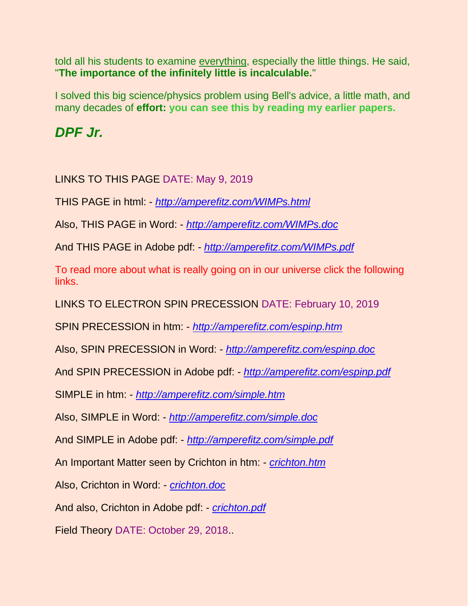told all his students to examine everything, especially the little things. He said, "**The importance of the infinitely little is incalculable.**"

I solved this big science/physics problem using Bell's advice, a little math, and many decades of **effort: you can see this by reading my earlier papers.**

*DPF Jr.*

LINKS TO THIS PAGE DATE: May 9, 2019

THIS PAGE in html: - *<http://amperefitz.com/WIMPs.html>*

Also, THIS PAGE in Word: - *<http://amperefitz.com/WIMPs.doc>*

And THIS PAGE in Adobe pdf: - *<http://amperefitz.com/WIMPs.pdf>*

To read more about what is really going on in our universe click the following links.

LINKS TO ELECTRON SPIN PRECESSION DATE: February 10, 2019

SPIN PRECESSION in htm: - *<http://amperefitz.com/espinp.htm>*

Also, SPIN PRECESSION in Word: - *<http://amperefitz.com/espinp.doc>*

And SPIN PRECESSION in Adobe pdf: - *<http://amperefitz.com/espinp.pdf>*

SIMPLE in htm: - *<http://amperefitz.com/simple.htm>*

Also, SIMPLE in Word: - *<http://amperefitz.com/simple.doc>*

And SIMPLE in Adobe pdf: - *<http://amperefitz.com/simple.pdf>*

An Important Matter seen by Crichton in htm: - *[crichton.htm](http://amperefitz.com/crichton.htm)*

Also, Crichton in Word: - *[crichton.doc](http://amperefitz.com/crichton.doc)*

And also, Crichton in Adobe pdf: - *[crichton.pdf](http://amperefitz.com/crichton.pdf)*

Field Theory DATE: October 29, 2018..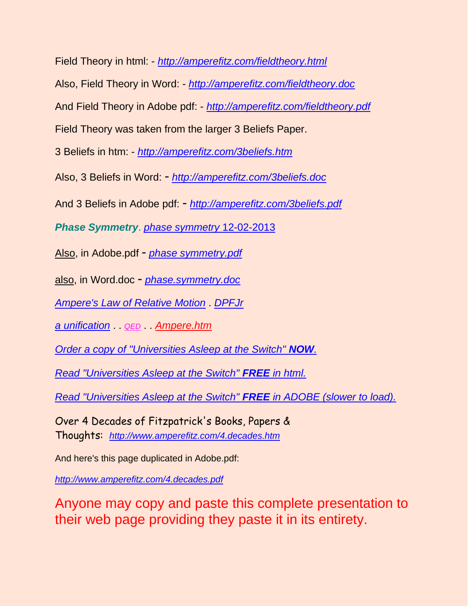Field Theory in html: - *<http://amperefitz.com/fieldtheory.html>*

Also, Field Theory in Word: - *<http://amperefitz.com/fieldtheory.doc>*

And Field Theory in Adobe pdf: - *<http://amperefitz.com/fieldtheory.pdf>*

Field Theory was taken from the larger 3 Beliefs Paper.

3 Beliefs in htm: - *<http://amperefitz.com/3beliefs.htm>*

Also, 3 Beliefs in Word: - *<http://amperefitz.com/3beliefs.doc>*

And 3 Beliefs in Adobe pdf: - *<http://amperefitz.com/3beliefs.pdf>*

*Phase Symmetry*. *[phase symmetry](http://amperefitz.com/phase.symmetry.htm)* 12-02-2013

Also, in Adobe.pdf - *[phase symmetry.pdf](http://amperefitz.com/phase.symmetry.pdf)*

also, in Word.doc - *[phase.symmetry.doc](http://amperefitz.com/phase.symmetry.doc)*

*[Ampere's Law of Relative Motion](http://www.rbduncan.com/relMlaw)* . *[DPFJr](http://www.rbduncan.com/DPFJr)*

*[a unification](http://www.rbduncan.com/fview2.htm)* . *[QED](http://www.rbduncan.com/feynm1.htm)* . *[Ampere.htm](http://www.rbduncan.com/Ampere.htm)* 

*[Order a copy of "Universities Asleep at the Switch"](http://www.lulu.com/quantumleap) NOW.*

*[Read "Universities Asleep at the Switch"](http://www.amperefitz.com/unvasleep.htm) FREE in html.*

*[Read "Universities Asleep at the Switch"](http://www.amperefitz.com/ua_20071020_ck_ds_jm_ds.pdf) FREE in ADOBE (slower to load).*

Over 4 Decades of Fitzpatrick's Books, Papers & Thoughts: *<http://www.amperefitz.com/4.decades.htm>*

And here's this page duplicated in Adobe.pdf:

*[http://www.amperefitz.com/4.decades.pdf](http://amperefitz.com/4.decades.pdf)*

Anyone may copy and paste this complete presentation to their web page providing they paste it in its entirety.